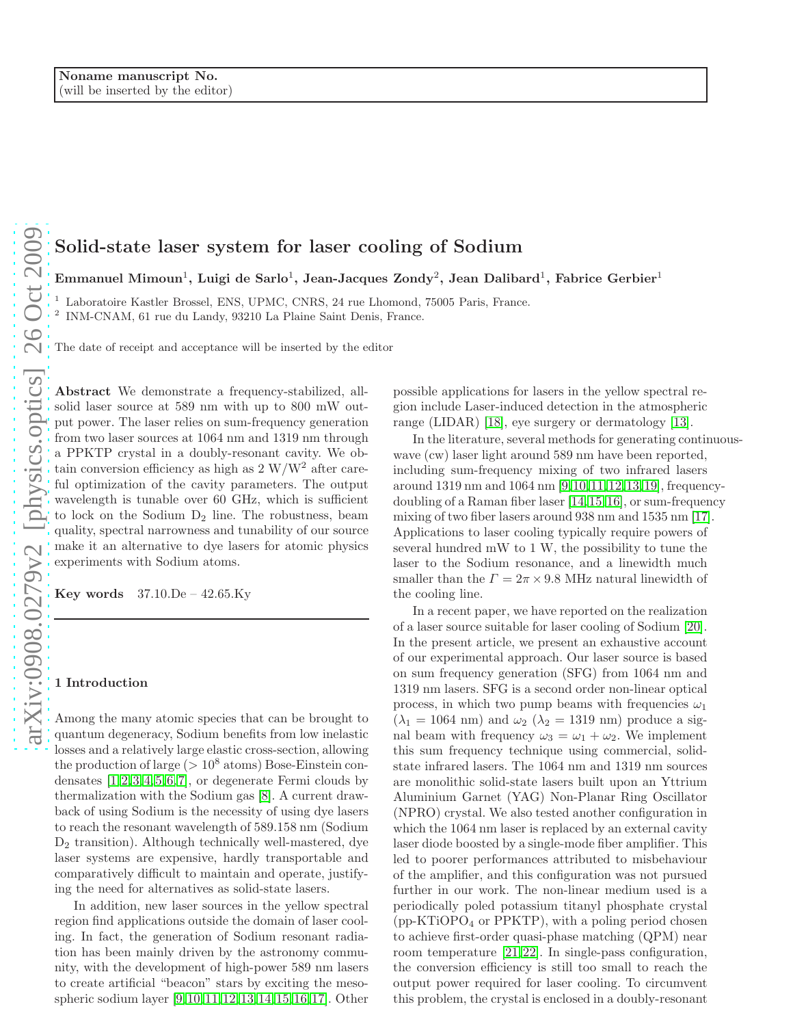# Solid-state laser system for laser cooling of Sodium

Emmanuel Mimoun $^1,$  Luigi de Sarlo $^1,$  Jean-Jacques Zondy $^2,$  Jean Dalibard $^1,$  Fabrice Gerbier $^1$ 

<sup>1</sup> Laboratoire Kastler Brossel, ENS, UPMC, CNRS, 24 rue Lhomond, 75005 Paris, France.

2 INM-CNAM, 61 rue du Landy, 93210 La Plaine Saint Denis, France.

The date of receipt and acceptance will be inserted by the editor

Abstract We demonstrate a frequency-stabilized, allsolid laser source at 589 nm with up to 800 mW output power. The laser relies on sum-frequency generation from two laser sources at 1064 nm and 1319 nm through a PPKTP crystal in a doubly-resonant cavity. We obtain conversion efficiency as high as  $2 \text{ W/W}^2$  after careful optimization of the cavity parameters. The output wavelength is tunable over 60 GHz, which is sufficient to lock on the Sodium  $D_2$  line. The robustness, beam quality, spectral narrowness and tunability of our source make it an alternative to dye lasers for atomic physics experiments with Sodium atoms.

**Key words**  $37.10 \text{.}$  De  $- 42.65 \text{.}$  Ky

#### 1 Introduction

Among the many atomic species that can be brought to quantum degeneracy, Sodium benefits from low inelastic losses and a relatively large elastic cross-section, allowing the production of large ( $> 10^8$  atoms) Bose-Einstein condensates  $[1,2,3,4,5,6,7]$  $[1,2,3,4,5,6,7]$  $[1,2,3,4,5,6,7]$  $[1,2,3,4,5,6,7]$  $[1,2,3,4,5,6,7]$  $[1,2,3,4,5,6,7]$  $[1,2,3,4,5,6,7]$ , or degenerate Fermi clouds by thermalization with the Sodium gas [\[8\]](#page-9-3). A current drawback of using Sodium is the necessity of using dye lasers to reach the resonant wavelength of 589.158 nm (Sodium  $D_2$  transition). Although technically well-mastered, dye laser systems are expensive, hardly transportable and comparatively difficult to maintain and operate, justifying the need for alternatives as solid-state lasers.

In addition, new laser sources in the yellow spectral region find applications outside the domain of laser cooling. In fact, the generation of Sodium resonant radiation has been mainly driven by the astronomy community, with the development of high-power 589 nm lasers to create artificial "beacon" stars by exciting the mesospheric sodium layer [\[9,](#page-9-4)[10,](#page-9-5)[11,](#page-9-6)[12,](#page-9-7)[13,](#page-9-8)[14,](#page-9-9)[15,](#page-9-10)[16,](#page-9-11)[17\]](#page-9-12). Other possible applications for lasers in the yellow spectral region include Laser-induced detection in the atmospheric range (LIDAR) [\[18\]](#page-9-13), eye surgery or dermatology [\[13\]](#page-9-8).

In the literature, several methods for generating continuouswave (cw) laser light around 589 nm have been reported, including sum-frequency mixing of two infrared lasers around 1319 nm and 1064 nm [\[9,](#page-9-4)[10,](#page-9-5)[11,](#page-9-6)[12,](#page-9-7)[13,](#page-9-8)[19\]](#page-9-14), frequencydoubling of a Raman fiber laser [\[14,](#page-9-9)[15,](#page-9-10)[16\]](#page-9-11), or sum-frequency mixing of two fiber lasers around 938 nm and 1535 nm [\[17\]](#page-9-12). Applications to laser cooling typically require powers of several hundred mW to 1 W, the possibility to tune the laser to the Sodium resonance, and a linewidth much smaller than the  $\Gamma = 2\pi \times 9.8$  MHz natural linewidth of the cooling line.

In a recent paper, we have reported on the realization of a laser source suitable for laser cooling of Sodium [\[20\]](#page-9-15). In the present article, we present an exhaustive account of our experimental approach. Our laser source is based on sum frequency generation (SFG) from 1064 nm and 1319 nm lasers. SFG is a second order non-linear optical process, in which two pump beams with frequencies  $\omega_1$  $(\lambda_1 = 1064$  nm) and  $\omega_2$  ( $\lambda_2 = 1319$  nm) produce a signal beam with frequency  $\omega_3 = \omega_1 + \omega_2$ . We implement this sum frequency technique using commercial, solidstate infrared lasers. The 1064 nm and 1319 nm sources are monolithic solid-state lasers built upon an Yttrium Aluminium Garnet (YAG) Non-Planar Ring Oscillator (NPRO) crystal. We also tested another configuration in which the 1064 nm laser is replaced by an external cavity laser diode boosted by a single-mode fiber amplifier. This led to poorer performances attributed to misbehaviour of the amplifier, and this configuration was not pursued further in our work. The non-linear medium used is a periodically poled potassium titanyl phosphate crystal (pp-KTiOPO<sup>4</sup> or PPKTP), with a poling period chosen to achieve first-order quasi-phase matching (QPM) near room temperature [\[21,](#page-9-16)[22\]](#page-9-17). In single-pass configuration, the conversion efficiency is still too small to reach the output power required for laser cooling. To circumvent this problem, the crystal is enclosed in a doubly-resonant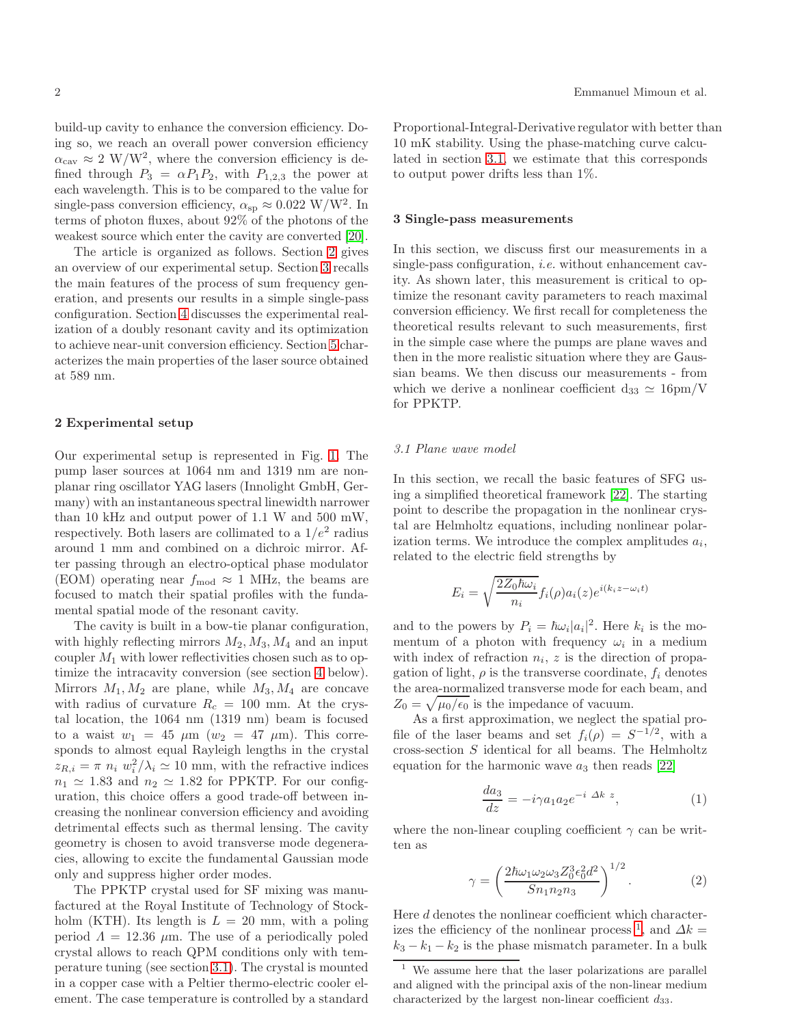build-up cavity to enhance the conversion efficiency. Doing so, we reach an overall power conversion efficiency  $\alpha_{\text{cav}} \approx 2 \text{ W/W}^2$ , where the conversion efficiency is defined through  $P_3 = \alpha P_1 P_2$ , with  $P_{1,2,3}$  the power at each wavelength. This is to be compared to the value for single-pass conversion efficiency,  $\alpha_{sp} \approx 0.022 \text{ W/W}^2$ . In terms of photon fluxes, about 92% of the photons of the weakest source which enter the cavity are converted [\[20\]](#page-9-15).

The article is organized as follows. Section [2](#page-1-0) gives an overview of our experimental setup. Section [3](#page-1-1) recalls the main features of the process of sum frequency generation, and presents our results in a simple single-pass configuration. Section [4](#page-4-0) discusses the experimental realization of a doubly resonant cavity and its optimization to achieve near-unit conversion efficiency. Section [5](#page-7-0) characterizes the main properties of the laser source obtained at 589 nm.

#### <span id="page-1-0"></span>2 Experimental setup

Our experimental setup is represented in Fig. [1.](#page-2-0) The pump laser sources at 1064 nm and 1319 nm are nonplanar ring oscillator YAG lasers (Innolight GmbH, Germany) with an instantaneous spectral linewidth narrower than 10 kHz and output power of 1.1 W and 500 mW, respectively. Both lasers are collimated to a  $1/e^2$  radius around 1 mm and combined on a dichroic mirror. After passing through an electro-optical phase modulator (EOM) operating near  $f_{\text{mod}} \approx 1$  MHz, the beams are focused to match their spatial profiles with the fundamental spatial mode of the resonant cavity.

The cavity is built in a bow-tie planar configuration, with highly reflecting mirrors  $M_2, M_3, M_4$  and an input coupler  $M_1$  with lower reflectivities chosen such as to optimize the intracavity conversion (see section [4](#page-4-0) below). Mirrors  $M_1, M_2$  are plane, while  $M_3, M_4$  are concave with radius of curvature  $R_c = 100$  mm. At the crystal location, the 1064 nm (1319 nm) beam is focused to a waist  $w_1 = 45 \mu m$  ( $w_2 = 47 \mu m$ ). This corresponds to almost equal Rayleigh lengths in the crystal  $z_{R,i} = \pi n_i w_i^2 / \lambda_i \simeq 10$  mm, with the refractive indices  $n_1 \simeq 1.83$  and  $n_2 \simeq 1.82$  for PPKTP. For our configuration, this choice offers a good trade-off between increasing the nonlinear conversion efficiency and avoiding detrimental effects such as thermal lensing. The cavity geometry is chosen to avoid transverse mode degeneracies, allowing to excite the fundamental Gaussian mode only and suppress higher order modes.

The PPKTP crystal used for SF mixing was manufactured at the Royal Institute of Technology of Stockholm (KTH). Its length is  $L = 20$  mm, with a poling period  $\Lambda = 12.36 \mu m$ . The use of a periodically poled crystal allows to reach QPM conditions only with temperature tuning (see section [3.1\)](#page-1-2). The crystal is mounted in a copper case with a Peltier thermo-electric cooler element. The case temperature is controlled by a standard Proportional-Integral-Derivative regulator with better than 10 mK stability. Using the phase-matching curve calculated in section [3.1,](#page-1-2) we estimate that this corresponds to output power drifts less than 1%.

# <span id="page-1-1"></span>3 Single-pass measurements

In this section, we discuss first our measurements in a single-pass configuration, *i.e.* without enhancement cavity. As shown later, this measurement is critical to optimize the resonant cavity parameters to reach maximal conversion efficiency. We first recall for completeness the theoretical results relevant to such measurements, first in the simple case where the pumps are plane waves and then in the more realistic situation where they are Gaussian beams. We then discuss our measurements - from which we derive a nonlinear coefficient  $d_{33} \simeq 16 \text{pm/V}$ for PPKTP.

# <span id="page-1-2"></span>3.1 Plane wave model

In this section, we recall the basic features of SFG using a simplified theoretical framework [\[22\]](#page-9-17). The starting point to describe the propagation in the nonlinear crystal are Helmholtz equations, including nonlinear polarization terms. We introduce the complex amplitudes  $a_i$ , related to the electric field strengths by

$$
E_i = \sqrt{\frac{2Z_0\hbar\omega_i}{n_i}} f_i(\rho) a_i(z) e^{i(k_i z - \omega_i t)}
$$

and to the powers by  $P_i = \hbar \omega_i |a_i|^2$ . Here  $k_i$  is the momentum of a photon with frequency  $\omega_i$  in a medium with index of refraction  $n_i$ , z is the direction of propagation of light,  $\rho$  is the transverse coordinate,  $f_i$  denotes the area-normalized transverse mode for each beam, and  $Z_0 = \sqrt{\mu_0/\epsilon_0}$  is the impedance of vacuum.

As a first approximation, we neglect the spatial profile of the laser beams and set  $f_i(\rho) = S^{-1/2}$ , with a cross-section  $S$  identical for all beams. The Helmholtz equation for the harmonic wave  $a_3$  then reads [\[22\]](#page-9-17)

$$
\frac{da_3}{dz} = -i\gamma a_1 a_2 e^{-i \Delta k z},\tag{1}
$$

where the non-linear coupling coefficient  $\gamma$  can be written as

<span id="page-1-4"></span>
$$
\gamma = \left(\frac{2\hbar\omega_1\omega_2\omega_3 Z_0^3 \epsilon_0^2 d^2}{S n_1 n_2 n_3}\right)^{1/2}.\tag{2}
$$

Here d denotes the nonlinear coefficient which character-izes the efficiency of the nonlinear process <sup>[1](#page-1-3)</sup>, and  $\Delta k =$  $k_3 - k_1 - k_2$  is the phase mismatch parameter. In a bulk

<span id="page-1-3"></span>We assume here that the laser polarizations are parallel and aligned with the principal axis of the non-linear medium characterized by the largest non-linear coefficient  $d_{33}$ .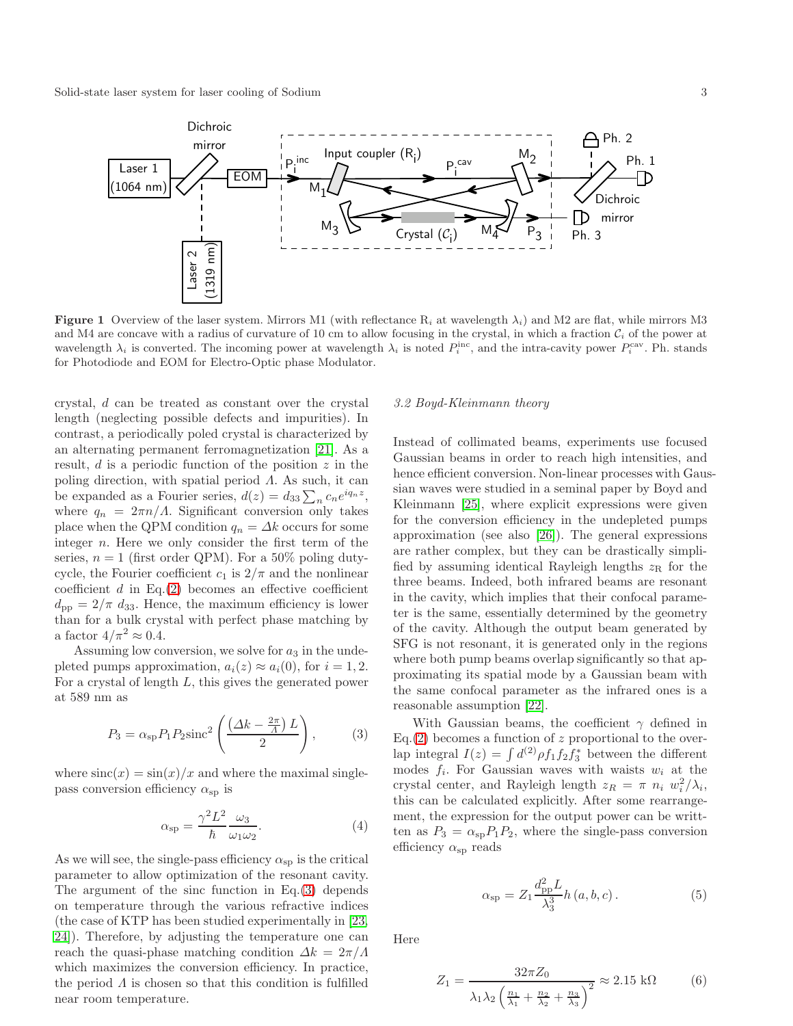

<span id="page-2-0"></span>**Figure 1** Overview of the laser system. Mirrors M1 (with reflectance R<sub>i</sub> at wavelength  $\lambda_i$ ) and M2 are flat, while mirrors M3 and M4 are concave with a radius of curvature of 10 cm to allow focusing in the crystal, in which a fraction  $C_i$  of the power at wavelength  $\lambda_i$  is converted. The incoming power at wavelength  $\lambda_i$  is noted  $P_i^{\text{inc}}$ , and the intra-cavity power  $P_i^{\text{cav}}$ . Ph. stands for Photodiode and EOM for Electro-Optic phase Modulator.

crystal, d can be treated as constant over the crystal length (neglecting possible defects and impurities). In contrast, a periodically poled crystal is characterized by an alternating permanent ferromagnetization [\[21\]](#page-9-16). As a result,  $d$  is a periodic function of the position  $z$  in the poling direction, with spatial period  $\Lambda$ . As such, it can be expanded as a Fourier series,  $d(z) = d_{33} \sum_n c_n e^{iq_n z}$ , where  $q_n = 2\pi n/A$ . Significant conversion only takes place when the QPM condition  $q_n = \Delta k$  occurs for some integer n. Here we only consider the first term of the series,  $n = 1$  (first order QPM). For a 50% poling dutycycle, the Fourier coefficient  $c_1$  is  $2/\pi$  and the nonlinear coefficient  $d$  in Eq.[\(2\)](#page-1-4) becomes an effective coefficient  $d_{\text{pp}} = 2/\pi d_{33}$ . Hence, the maximum efficiency is lower than for a bulk crystal with perfect phase matching by a factor  $4/\pi^2 \approx 0.4$ .

Assuming low conversion, we solve for  $a_3$  in the undepleted pumps approximation,  $a_i(z) \approx a_i(0)$ , for  $i = 1, 2$ . For a crystal of length L, this gives the generated power at 589 nm as

<span id="page-2-1"></span>
$$
P_3 = \alpha_{\rm sp} P_1 P_2 \text{sinc}^2 \left( \frac{\left(\Delta k - \frac{2\pi}{A}\right)L}{2} \right),\tag{3}
$$

where  $\operatorname{sinc}(x) = \sin(x)/x$  and where the maximal singlepass conversion efficiency  $\alpha_{sp}$  is

<span id="page-2-2"></span>
$$
\alpha_{\rm sp} = \frac{\gamma^2 L^2}{\hbar} \frac{\omega_3}{\omega_1 \omega_2}.
$$
 (4)

As we will see, the single-pass efficiency  $\alpha_{sp}$  is the critical parameter to allow optimization of the resonant cavity. The argument of the sinc function in  $Eq.(3)$  $Eq.(3)$  depends on temperature through the various refractive indices (the case of KTP has been studied experimentally in [\[23,](#page-9-18) [24\]](#page-9-19)). Therefore, by adjusting the temperature one can reach the quasi-phase matching condition  $\Delta k = 2\pi/\Lambda$ which maximizes the conversion efficiency. In practice, the period  $\Lambda$  is chosen so that this condition is fulfilled near room temperature.

# 3.2 Boyd-Kleinmann theory

Instead of collimated beams, experiments use focused Gaussian beams in order to reach high intensities, and hence efficient conversion. Non-linear processes with Gaussian waves were studied in a seminal paper by Boyd and Kleinmann [\[25\]](#page-9-20), where explicit expressions were given for the conversion efficiency in the undepleted pumps approximation (see also [\[26\]](#page-9-21)). The general expressions are rather complex, but they can be drastically simplified by assuming identical Rayleigh lengths  $z_R$  for the three beams. Indeed, both infrared beams are resonant in the cavity, which implies that their confocal parameter is the same, essentially determined by the geometry of the cavity. Although the output beam generated by SFG is not resonant, it is generated only in the regions where both pump beams overlap significantly so that approximating its spatial mode by a Gaussian beam with the same confocal parameter as the infrared ones is a reasonable assumption [\[22\]](#page-9-17).

With Gaussian beams, the coefficient  $\gamma$  defined in Eq.[\(2\)](#page-1-4) becomes a function of z proportional to the overlap integral  $I(z) = \int d^{(2)} \rho f_1 f_2 f_3^*$  between the different modes  $f_i$ . For Gaussian waves with waists  $w_i$  at the crystal center, and Rayleigh length  $z_R = \pi n_i w_i^2 / \lambda_i$ , this can be calculated explicitly. After some rearrangement, the expression for the output power can be writtten as  $P_3 = \alpha_{sp} P_1 P_2$ , where the single-pass conversion efficiency  $\alpha_{\rm sp}$  reads

$$
\alpha_{\rm sp} = Z_1 \frac{d_{\rm pp}^2 L}{\lambda_3^3} h(a, b, c).
$$
 (5)

Here

$$
Z_1 = \frac{32\pi Z_0}{\lambda_1 \lambda_2 \left(\frac{n_1}{\lambda_1} + \frac{n_2}{\lambda_2} + \frac{n_3}{\lambda_3}\right)^2} \approx 2.15 \text{ k}\Omega \tag{6}
$$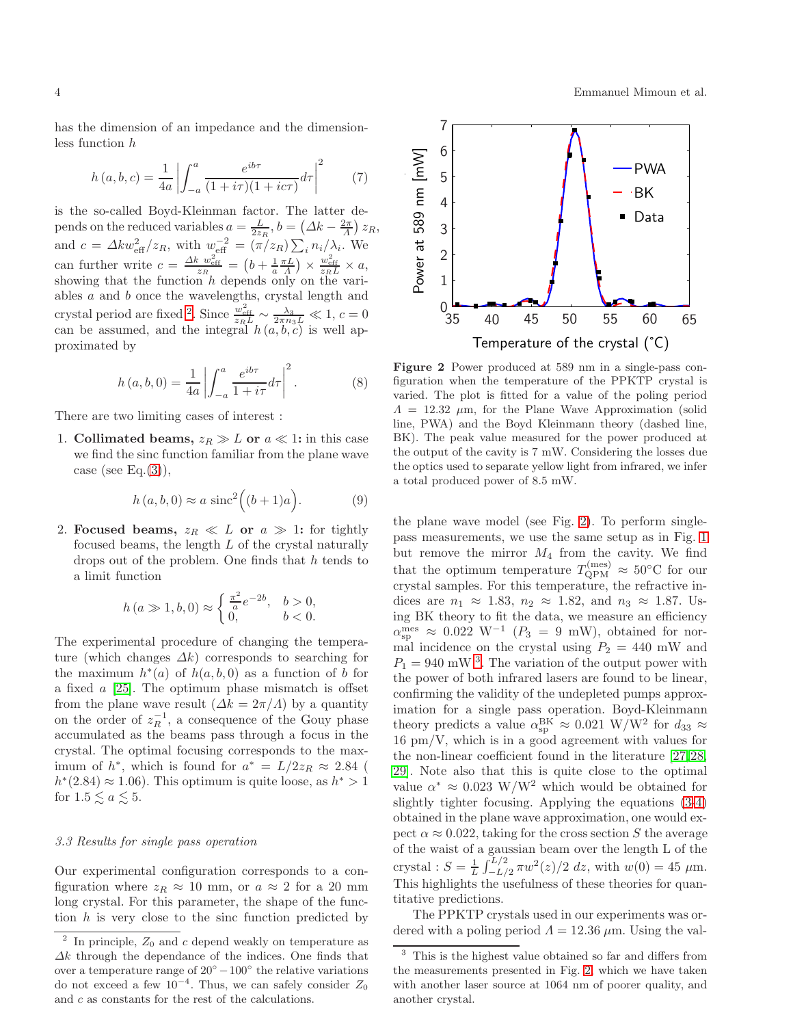$$
\overline{4}
$$

has the dimension of an impedance and the dimensionless function h

$$
h(a, b, c) = \frac{1}{4a} \left| \int_{-a}^{a} \frac{e^{ib\tau}}{(1 + i\tau)(1 + ic\tau)} d\tau \right|^2 \tag{7}
$$

0.4 0.5 0.6 0.7

is the so-called Boyd-Kleinman factor. The latter depends on the reduced variables  $a = \frac{L}{2z_R}$ ,  $b = (\Delta k - \frac{2\pi}{\Lambda}) z_R$ , and  $c = \Delta k w_{\text{eff}}^2/z_R$ , with  $w_{\text{eff}}^{-2} = (\pi/z_R) \sum_i n_i / \lambda_i$ . We can further write  $c = \frac{\Delta k w_{\text{eff}}^2}{z_R} = \left(b + \frac{1}{a} \frac{\pi L}{A}\right) \times \frac{w_{\text{eff}}^2}{z_R L} \times a$ , showing that the function  $h$  depends only on the variables  $a$  and  $b$  once the wavelengths, crystal length and crystal period are fixed <sup>[2](#page-3-0)</sup>. Since  $\frac{w_{\text{eff}}^2}{z_R L} \sim \frac{\lambda_3}{2\pi n_3 L} \ll 1, c = 0$ can be assumed, and the integral  $h(a, b, c)$  is well approximated by

$$
h\left(a,b,0\right) = \frac{1}{4a} \left| \int_{-a}^{a} \frac{e^{ib\tau}}{1+i\tau} d\tau \right|^{2}.
$$
 (8)

There are two limiting cases of interest :

1. Collimated beams,  $z_R \gg L$  or  $a \ll 1$ : in this case we find the sinc function familiar from the plane wave case (see Eq. $(3)$ ),

$$
h(a, b, 0) \approx a \operatorname{sinc}^2((b+1)a). \tag{9}
$$

2. Focused beams,  $z_R \ll L$  or  $a \gg 1$ : for tightly focused beams, the length  $L$  of the crystal naturally drops out of the problem. One finds that h tends to a limit function

$$
h (a \gg 1, b, 0) \approx \begin{cases} \frac{\pi^2}{a} e^{-2b}, & b > 0, \\ 0, & b < 0. \end{cases}
$$

The experimental procedure of changing the temperature (which changes  $\Delta k$ ) corresponds to searching for the maximum  $h^*(a)$  of  $h(a, b, 0)$  as a function of b for a fixed a [\[25\]](#page-9-20). The optimum phase mismatch is offset from the plane wave result  $(\Delta k = 2\pi/\Lambda)$  by a quantity on the order of  $z_R^{-1}$ , a consequence of the Gouy phase accumulated as the beams pass through a focus in the crystal. The optimal focusing corresponds to the maximum of  $h^*$ , which is found for  $a^* = L/2z_R \approx 2.84$  (  $h^*(2.84) \approx 1.06$ . This optimum is quite loose, as  $h^* > 1$ for  $1.5 \lesssim a \lesssim 5$ .

# 3.3 Results for single pass operation

Our experimental configuration corresponds to a configuration where  $z_R \approx 10$  mm, or  $a \approx 2$  for a 20 mm long crystal. For this parameter, the shape of the function  $h$  is very close to the sinc function predicted by



<span id="page-3-1"></span>Figure 2 Power produced at 589 nm in a single-pass configuration when the temperature of the PPKTP crystal is varied. The plot is fitted for a value of the poling period  $\Lambda = 12.32 \mu m$ , for the Plane Wave Approximation (solid line, PWA) and the Boyd Kleinmann theory (dashed line, BK). The peak value measured for the power produced at the output of the cavity is 7 mW. Considering the losses due the optics used to separate yellow light from infrared, we infer a total produced power of 8.5 mW.

the plane wave model (see Fig. [2\)](#page-3-1). To perform singlepass measurements, we use the same setup as in Fig. [1](#page-2-0) but remove the mirror  $M_4$  from the cavity. We find that the optimum temperature  $T_{\text{QPM}}^{(\text{mes})} \approx 50^{\circ}\text{C}$  for our crystal samples. For this temperature, the refractive indices are  $n_1 \approx 1.83$ ,  $n_2 \approx 1.82$ , and  $n_3 \approx 1.87$ . Using BK theory to fit the data, we measure an efficiency  $\alpha_{\rm sp}^{\rm mes} \approx 0.022 \rm \; W^{-1}$  ( $P_3 = 9 \rm \; mW$ ), obtained for normal incidence on the crystal using  $P_2 = 440$  mW and  $P_1 = 940$  mW<sup>[3](#page-3-2)</sup>. The variation of the output power with the power of both infrared lasers are found to be linear, confirming the validity of the undepleted pumps approximation for a single pass operation. Boyd-Kleinmann theory predicts a value  $\alpha_{sp}^{BK} \approx 0.021 \text{ W/W}^2$  for  $d_{33} \approx$ 16 pm/V, which is in a good agreement with values for the non-linear coefficient found in the literature [\[27,](#page-9-22)[28,](#page-9-23) [29\]](#page-9-24). Note also that this is quite close to the optimal value  $\alpha^* \approx 0.023 \text{ W/W}^2$  which would be obtained for slightly tighter focusing. Applying the equations [\(3](#page-2-1)[-4\)](#page-2-2) obtained in the plane wave approximation, one would expect  $\alpha \approx 0.022$ , taking for the cross section S the average of the waist of a gaussian beam over the length L of the crystal :  $S = \frac{1}{L} \int_{-L/2}^{L/2} \pi w^2(z)/2 dz$ , with  $w(0) = 45 \mu m$ . This highlights the usefulness of these theories for quantitative predictions.

The PPKTP crystals used in our experiments was ordered with a poling period  $\Lambda = 12.36 \ \mu \text{m}$ . Using the val-

<span id="page-3-0"></span><sup>2</sup> In principle,  $Z_0$  and c depend weakly on temperature as  $\Delta k$  through the dependance of the indices. One finds that over a temperature range of  $20^{\circ} - 100^{\circ}$  the relative variations do not exceed a few  $10^{-4}$ . Thus, we can safely consider  $Z_0$ and c as constants for the rest of the calculations.

<span id="page-3-2"></span><sup>&</sup>lt;sup>3</sup> This is the highest value obtained so far and differs from the measurements presented in Fig. [2,](#page-3-1) which we have taken with another laser source at 1064 nm of poorer quality, and another crystal.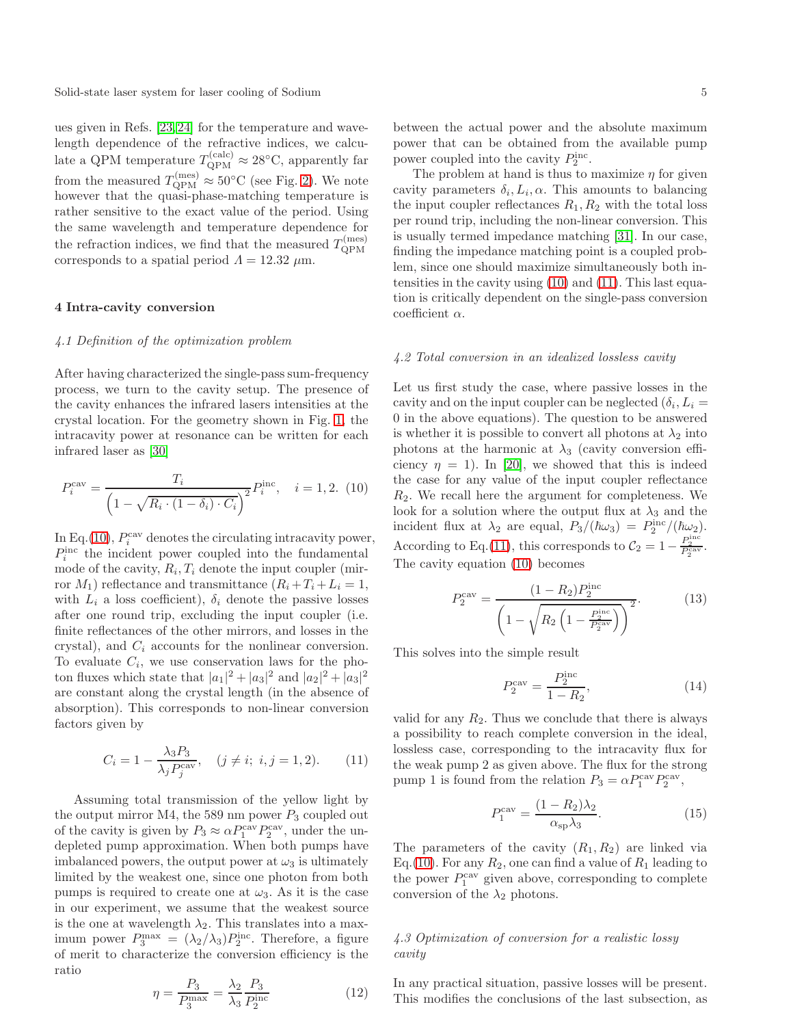ues given in Refs. [\[23,](#page-9-18)[24\]](#page-9-19) for the temperature and wavelength dependence of the refractive indices, we calculate a QPM temperature  $T_{\text{QPM}}^{(\text{calc})} \approx 28^{\circ}\text{C}$ , apparently far from the measured  $T_{\text{QPM}}^{(\text{mes})} \approx 50^{\circ}\text{C}$  (see Fig. [2\)](#page-3-1). We note however that the quasi-phase-matching temperature is rather sensitive to the exact value of the period. Using the same wavelength and temperature dependence for the refraction indices, we find that the measured  $T_{\text{OPM}}^{(\text{mes})}$ QPM corresponds to a spatial period  $\Lambda = 12.32 \ \mu \text{m}$ .

# <span id="page-4-0"></span>4 Intra-cavity conversion

### 4.1 Definition of the optimization problem

After having characterized the single-pass sum-frequency process, we turn to the cavity setup. The presence of the cavity enhances the infrared lasers intensities at the crystal location. For the geometry shown in Fig. [1,](#page-2-0) the intracavity power at resonance can be written for each infrared laser as [\[30\]](#page-9-25)

<span id="page-4-1"></span>
$$
P_i^{\text{cav}} = \frac{T_i}{\left(1 - \sqrt{R_i \cdot (1 - \delta_i) \cdot C_i}\right)^2} P_i^{\text{inc}}, \quad i = 1, 2. (10)
$$

In Eq.[\(10\)](#page-4-1),  $P_i^{\text{cav}}$  denotes the circulating intracavity power,  $P_i^{\text{inc}}$  the incident power coupled into the fundamental mode of the cavity,  $R_i, T_i$  denote the input coupler (mirror  $M_1$ ) reflectance and transmittance  $(R_i+T_i+L_i=1,$ with  $L_i$  a loss coefficient),  $\delta_i$  denote the passive losses after one round trip, excluding the input coupler (i.e. finite reflectances of the other mirrors, and losses in the crystal), and  $C_i$  accounts for the nonlinear conversion. To evaluate  $C_i$ , we use conservation laws for the photon fluxes which state that  $|a_1|^2 + |a_3|^2$  and  $|a_2|^2 + |a_3|^2$ are constant along the crystal length (in the absence of absorption). This corresponds to non-linear conversion factors given by

<span id="page-4-2"></span>
$$
C_i = 1 - \frac{\lambda_3 P_3}{\lambda_j P_j^{\text{cav}}}, \quad (j \neq i; \ i, j = 1, 2). \tag{11}
$$

Assuming total transmission of the yellow light by the output mirror M4, the 589 nm power  $P_3$  coupled out of the cavity is given by  $P_3 \approx \alpha P_1^{\text{cav}} P_2^{\text{cav}}$ , under the undepleted pump approximation. When both pumps have imbalanced powers, the output power at  $\omega_3$  is ultimately limited by the weakest one, since one photon from both pumps is required to create one at  $\omega_3$ . As it is the case in our experiment, we assume that the weakest source is the one at wavelength  $\lambda_2$ . This translates into a maximum power  $P_3^{\text{max}} = (\lambda_2/\lambda_3) P_2^{\text{inc}}$ . Therefore, a figure of merit to characterize the conversion efficiency is the ratio

$$
\eta = \frac{P_3}{P_3^{\text{max}}} = \frac{\lambda_2}{\lambda_3} \frac{P_3}{P_2^{\text{inc}}} \tag{12}
$$

between the actual power and the absolute maximum power that can be obtained from the available pump power coupled into the cavity  $P_2^{\text{inc}}$ .

The problem at hand is thus to maximize  $\eta$  for given cavity parameters  $\delta_i, L_i, \alpha$ . This amounts to balancing the input coupler reflectances  $R_1, R_2$  with the total loss per round trip, including the non-linear conversion. This is usually termed impedance matching [\[31\]](#page-9-26). In our case, finding the impedance matching point is a coupled problem, since one should maximize simultaneously both intensities in the cavity using [\(10\)](#page-4-1) and [\(11\)](#page-4-2). This last equation is critically dependent on the single-pass conversion coefficient  $\alpha$ .

#### 4.2 Total conversion in an idealized lossless cavity

Let us first study the case, where passive losses in the cavity and on the input coupler can be neglected  $(\delta_i, L_i =$ 0 in the above equations). The question to be answered is whether it is possible to convert all photons at  $\lambda_2$  into photons at the harmonic at  $\lambda_3$  (cavity conversion efficiency  $\eta = 1$ ). In [\[20\]](#page-9-15), we showed that this is indeed the case for any value of the input coupler reflectance  $R_2$ . We recall here the argument for completeness. We look for a solution where the output flux at  $\lambda_3$  and the incident flux at  $\lambda_2$  are equal,  $P_3/(\hbar\omega_3) = P_2^{\rm inc}/(\hbar\omega_2)$ . According to Eq.[\(11\)](#page-4-2), this corresponds to  $C_2 = 1 - \frac{P_2^{\text{inc}}}{P_2^{\text{cav}}}$ . The cavity equation [\(10\)](#page-4-1) becomes

$$
P_2^{\text{cav}} = \frac{(1 - R_2)P_2^{\text{inc}}}{\left(1 - \sqrt{R_2 \left(1 - \frac{P_2^{\text{inc}}}{P_2^{\text{cav}}}\right)}\right)^2}.
$$
(13)

This solves into the simple result

$$
P_2^{\text{cav}} = \frac{P_2^{\text{inc}}}{1 - R_2},\tag{14}
$$

valid for any  $R_2$ . Thus we conclude that there is always a possibility to reach complete conversion in the ideal, lossless case, corresponding to the intracavity flux for the weak pump 2 as given above. The flux for the strong pump 1 is found from the relation  $P_3 = \alpha P_1^{\text{cav}} P_2^{\text{cav}}$ ,

<span id="page-4-3"></span>
$$
P_1^{\text{cav}} = \frac{(1 - R_2)\lambda_2}{\alpha_{\text{sp}}\lambda_3}.\tag{15}
$$

The parameters of the cavity  $(R_1, R_2)$  are linked via Eq.[\(10\)](#page-4-1). For any  $R_2$ , one can find a value of  $R_1$  leading to the power  $P_1^{\text{cav}}$  given above, corresponding to complete conversion of the  $\lambda_2$  photons.

# 4.3 Optimization of conversion for a realistic lossy cavity

In any practical situation, passive losses will be present. This modifies the conclusions of the last subsection, as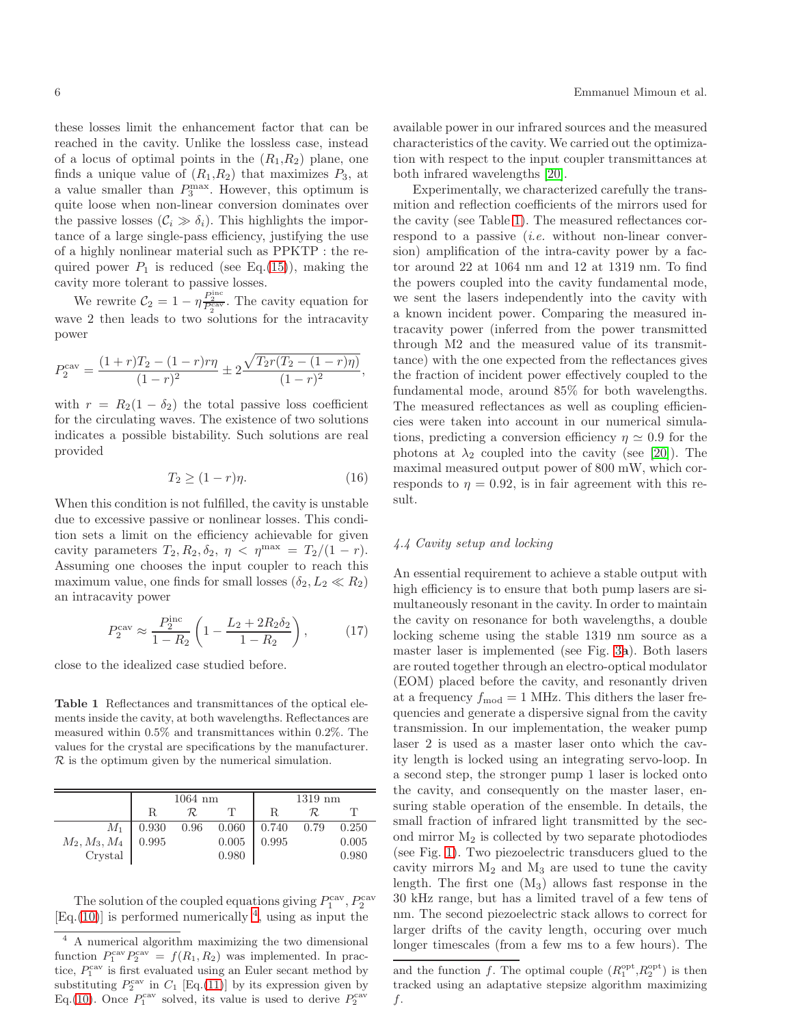these losses limit the enhancement factor that can be reached in the cavity. Unlike the lossless case, instead of a locus of optimal points in the  $(R_1, R_2)$  plane, one finds a unique value of  $(R_1, R_2)$  that maximizes  $P_3$ , at a value smaller than  $P_3^{\max}$ . However, this optimum is quite loose when non-linear conversion dominates over the passive losses  $(C_i \gg \delta_i)$ . This highlights the importance of a large single-pass efficiency, justifying the use of a highly nonlinear material such as PPKTP : the required power  $P_1$  is reduced (see Eq.[\(15\)](#page-4-3)), making the cavity more tolerant to passive losses.

We rewrite  $C_2 = 1 - \eta \frac{P_2^{\text{inc}}}{P_2^{\text{cav}}}$ . The cavity equation for wave 2 then leads to two solutions for the intracavity power

$$
P_2^{\text{cav}} = \frac{(1+r)T_2 - (1-r)r\eta}{(1-r)^2} \pm 2\frac{\sqrt{T_2r(T_2 - (1-r)\eta)}}{(1-r)^2},
$$

with  $r = R_2(1 - \delta_2)$  the total passive loss coefficient for the circulating waves. The existence of two solutions indicates a possible bistability. Such solutions are real provided

$$
T_2 \ge (1 - r)\eta. \tag{16}
$$

When this condition is not fulfilled, the cavity is unstable due to excessive passive or nonlinear losses. This condition sets a limit on the efficiency achievable for given cavity parameters  $T_2, R_2, \delta_2, \eta < \eta^{\text{max}} = T_2/(1-r)$ . Assuming one chooses the input coupler to reach this maximum value, one finds for small losses  $(\delta_2, L_2 \ll R_2)$ an intracavity power

$$
P_2^{\text{cav}} \approx \frac{P_2^{\text{inc}}}{1 - R_2} \left( 1 - \frac{L_2 + 2R_2 \delta_2}{1 - R_2} \right),\tag{17}
$$

close to the idealized case studied before.

<span id="page-5-1"></span>Table 1 Reflectances and transmittances of the optical elements inside the cavity, at both wavelengths. Reflectances are measured within 0.5% and transmittances within 0.2%. The values for the crystal are specifications by the manufacturer.  $\mathcal R$  is the optimum given by the numerical simulation.

|                            | $1064$ nm |      |       | $1319$ nm         |      |       |
|----------------------------|-----------|------|-------|-------------------|------|-------|
|                            | R         | R.   |       |                   | R.   |       |
| $M_1$                      | 0.930     | 0.96 | 0.060 | $\mid 0.740 \mid$ | 0.79 | 0.250 |
| $M_2, M_3, M_4$<br>Crystal | 0.995     |      | 0.005 | 0.995             |      | 0.005 |
|                            |           |      | 0.980 |                   |      | 0.980 |

The solution of the coupled equations giving  $P_1^{\text{cav}}, P_2^{\text{cav}}$  $[Eq.(10)]$  $[Eq.(10)]$  $[Eq.(10)]$  is performed numerically  $4$ , using as input the

available power in our infrared sources and the measured characteristics of the cavity. We carried out the optimization with respect to the input coupler transmittances at both infrared wavelengths [\[20\]](#page-9-15).

Experimentally, we characterized carefully the transmition and reflection coefficients of the mirrors used for the cavity (see Table [1\)](#page-5-1). The measured reflectances correspond to a passive  $(i.e.$  without non-linear conversion) amplification of the intra-cavity power by a factor around 22 at 1064 nm and 12 at 1319 nm. To find the powers coupled into the cavity fundamental mode, we sent the lasers independently into the cavity with a known incident power. Comparing the measured intracavity power (inferred from the power transmitted through M2 and the measured value of its transmittance) with the one expected from the reflectances gives the fraction of incident power effectively coupled to the fundamental mode, around 85% for both wavelengths. The measured reflectances as well as coupling efficiencies were taken into account in our numerical simulations, predicting a conversion efficiency  $\eta \simeq 0.9$  for the photons at  $\lambda_2$  coupled into the cavity (see [\[20\]](#page-9-15)). The maximal measured output power of 800 mW, which corresponds to  $\eta = 0.92$ , is in fair agreement with this result.

# 4.4 Cavity setup and locking

An essential requirement to achieve a stable output with high efficiency is to ensure that both pump lasers are simultaneously resonant in the cavity. In order to maintain the cavity on resonance for both wavelengths, a double locking scheme using the stable 1319 nm source as a master laser is implemented (see Fig. [3](#page-6-0)a). Both lasers are routed together through an electro-optical modulator (EOM) placed before the cavity, and resonantly driven at a frequency  $f_{\text{mod}} = 1$  MHz. This dithers the laser frequencies and generate a dispersive signal from the cavity transmission. In our implementation, the weaker pump laser 2 is used as a master laser onto which the cavity length is locked using an integrating servo-loop. In a second step, the stronger pump 1 laser is locked onto the cavity, and consequently on the master laser, ensuring stable operation of the ensemble. In details, the small fraction of infrared light transmitted by the second mirror  $M_2$  is collected by two separate photodiodes (see Fig. [1\)](#page-2-0). Two piezoelectric transducers glued to the cavity mirrors  $M_2$  and  $M_3$  are used to tune the cavity length. The first one (M3) allows fast response in the 30 kHz range, but has a limited travel of a few tens of nm. The second piezoelectric stack allows to correct for larger drifts of the cavity length, occuring over much longer timescales (from a few ms to a few hours). The

<span id="page-5-0"></span><sup>4</sup> A numerical algorithm maximizing the two dimensional function  $P_1^{\text{cav}} P_2^{\text{cav}} = f(R_1, R_2)$  was implemented. In practice,  $P_1^{\text{cav}}$  is first evaluated using an Euler secant method by substituting  $P_2^{\text{cav}}$  in  $C_1$  [Eq.[\(11\)](#page-4-2)] by its expression given by Eq.[\(10\)](#page-4-1). Once  $P_1^{\text{cav}}$  solved, its value is used to derive  $P_2^{\text{cav}}$ 

and the function f. The optimal couple  $(R_1^{\text{opt}}, R_2^{\text{opt}})$  is then tracked using an adaptative stepsize algorithm maximizing f.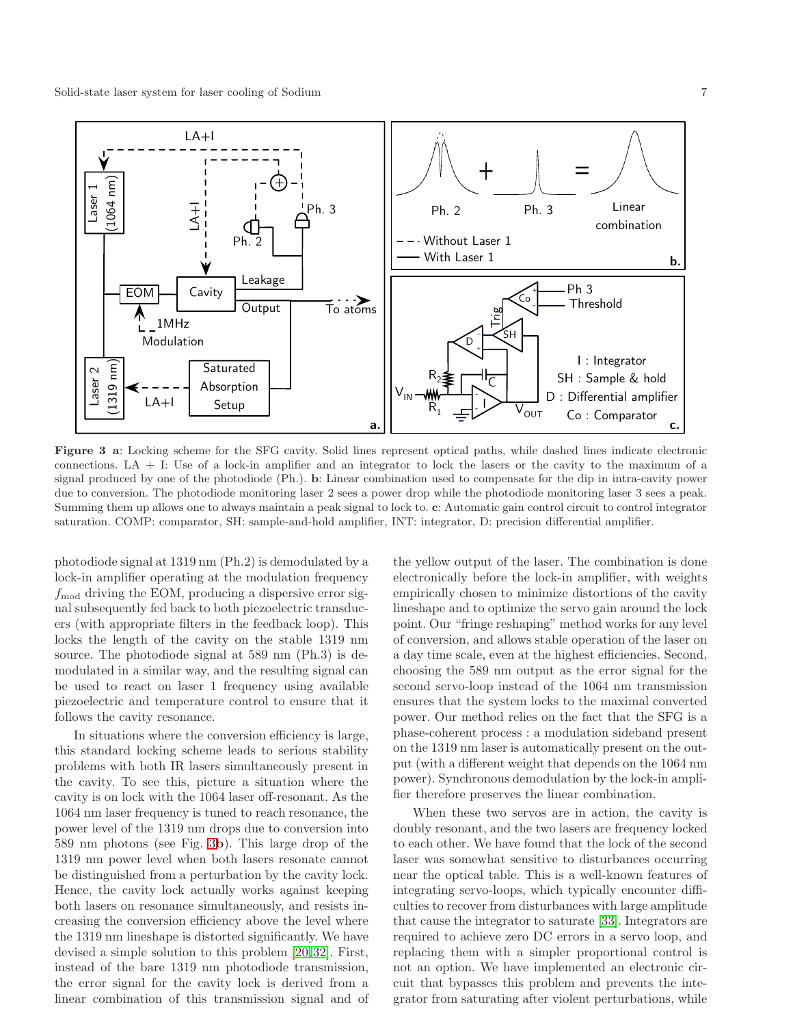

<span id="page-6-0"></span>Figure 3 a: Locking scheme for the SFG cavity. Solid lines represent optical paths, while dashed lines indicate electronic connections. LA + I: Use of a lock-in amplifier and an integrator to lock the lasers or the cavity to the maximum of a signal produced by one of the photodiode (Ph.). b: Linear combination used to compensate for the dip in intra-cavity power due to conversion. The photodiode monitoring laser 2 sees a power drop while the photodiode monitoring laser 3 sees a peak. Summing them up allows one to always maintain a peak signal to lock to. c: Automatic gain control circuit to control integrator saturation. COMP: comparator, SH: sample-and-hold amplifier, INT: integrator, D: precision differential amplifier.

photodiode signal at 1319 nm (Ph.2) is demodulated by a lock-in amplifier operating at the modulation frequency  $f_{\text{mod}}$  driving the EOM, producing a dispersive error signal subsequently fed back to both piezoelectric transducers (with appropriate filters in the feedback loop). This locks the length of the cavity on the stable 1319 nm source. The photodiode signal at 589 nm (Ph.3) is demodulated in a similar way, and the resulting signal can be used to react on laser 1 frequency using available piezoelectric and temperature control to ensure that it follows the cavity resonance.

In situations where the conversion efficiency is large, this standard locking scheme leads to serious stability problems with both IR lasers simultaneously present in the cavity. To see this, picture a situation where the cavity is on lock with the 1064 laser off-resonant. As the 1064 nm laser frequency is tuned to reach resonance, the power level of the 1319 nm drops due to conversion into 589 nm photons (see Fig. [3](#page-6-0)b). This large drop of the 1319 nm power level when both lasers resonate cannot be distinguished from a perturbation by the cavity lock. Hence, the cavity lock actually works against keeping both lasers on resonance simultaneously, and resists increasing the conversion efficiency above the level where the 1319 nm lineshape is distorted significantly. We have devised a simple solution to this problem [\[20,](#page-9-15)[32\]](#page-9-27). First, instead of the bare 1319 nm photodiode transmission, the error signal for the cavity lock is derived from a linear combination of this transmission signal and of the yellow output of the laser. The combination is done electronically before the lock-in amplifier, with weights empirically chosen to minimize distortions of the cavity lineshape and to optimize the servo gain around the lock point. Our "fringe reshaping" method works for any level of conversion, and allows stable operation of the laser on a day time scale, even at the highest efficiencies. Second, choosing the 589 nm output as the error signal for the second servo-loop instead of the 1064 nm transmission ensures that the system locks to the maximal converted power. Our method relies on the fact that the SFG is a phase-coherent process : a modulation sideband present on the 1319 nm laser is automatically present on the output (with a different weight that depends on the 1064 nm power). Synchronous demodulation by the lock-in amplifier therefore preserves the linear combination.

When these two servos are in action, the cavity is doubly resonant, and the two lasers are frequency locked to each other. We have found that the lock of the second laser was somewhat sensitive to disturbances occurring near the optical table. This is a well-known features of integrating servo-loops, which typically encounter difficulties to recover from disturbances with large amplitude that cause the integrator to saturate [\[33\]](#page-9-28). Integrators are required to achieve zero DC errors in a servo loop, and replacing them with a simpler proportional control is not an option. We have implemented an electronic circuit that bypasses this problem and prevents the integrator from saturating after violent perturbations, while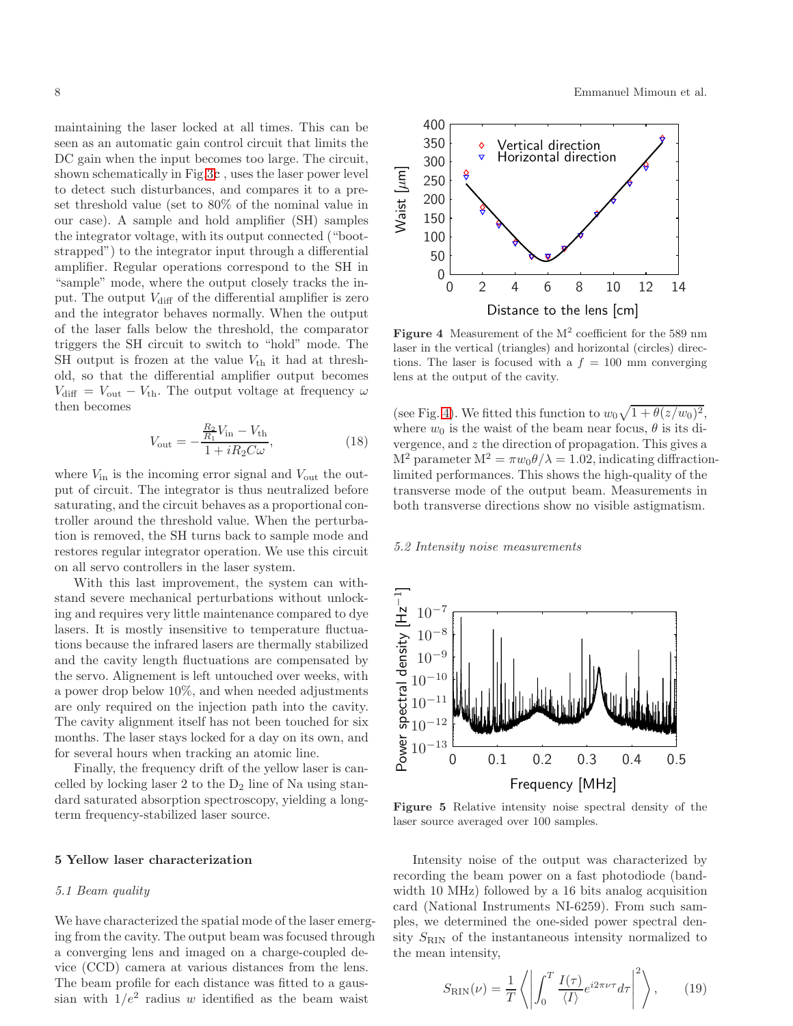maintaining the laser locked at all times. This can be seen as an automatic gain control circuit that limits the DC gain when the input becomes too large. The circuit, shown schematically in Fig[.3](#page-6-0)c , uses the laser power level to detect such disturbances, and compares it to a preset threshold value (set to 80% of the nominal value in our case). A sample and hold amplifier (SH) samples the integrator voltage, with its output connected ("bootstrapped") to the integrator input through a differential amplifier. Regular operations correspond to the SH in "sample" mode, where the output closely tracks the input. The output  $V_{\text{diff}}$  of the differential amplifier is zero and the integrator behaves normally. When the output of the laser falls below the threshold, the comparator triggers the SH circuit to switch to "hold" mode. The SH output is frozen at the value  $V_{\text{th}}$  it had at threshold, so that the differential amplifier output becomes  $V_{\text{diff}} = V_{\text{out}} - V_{\text{th}}$ . The output voltage at frequency  $\omega$ then becomes

$$
V_{\text{out}} = -\frac{\frac{R_2}{R_1}V_{\text{in}} - V_{\text{th}}}{1 + iR_2C\omega},\tag{18}
$$

where  $V_{\text{in}}$  is the incoming error signal and  $V_{\text{out}}$  the output of circuit. The integrator is thus neutralized before saturating, and the circuit behaves as a proportional controller around the threshold value. When the perturbation is removed, the SH turns back to sample mode and restores regular integrator operation. We use this circuit on all servo controllers in the laser system.

With this last improvement, the system can withstand severe mechanical perturbations without unlocking and requires very little maintenance compared to dye lasers. It is mostly insensitive to temperature fluctuations because the infrared lasers are thermally stabilized and the cavity length fluctuations are compensated by the servo. Alignement is left untouched over weeks, with a power drop below 10%, and when needed adjustments are only required on the injection path into the cavity. The cavity alignment itself has not been touched for six months. The laser stays locked for a day on its own, and for several hours when tracking an atomic line.

Finally, the frequency drift of the yellow laser is cancelled by locking laser 2 to the  $D_2$  line of Na using standard saturated absorption spectroscopy, yielding a longterm frequency-stabilized laser source.

#### <span id="page-7-0"></span>5 Yellow laser characterization

#### 5.1 Beam quality

We have characterized the spatial mode of the laser emerging from the cavity. The output beam was focused through a converging lens and imaged on a charge-coupled device (CCD) camera at various distances from the lens. The beam profile for each distance was fitted to a gaussian with  $1/e^2$  radius w identified as the beam waist

0.6  $8.7$  $0.1\phantom{0.}0.8$ 

8 a component of the U.S  $\frac{1}{1}$  component of the Emmanuel Mimoun et al.



<span id="page-7-1"></span>Figure 4 Measurement of the  $M^2$  coefficient for the 589 nm laser in the vertical (triangles) and horizontal (circles) directions. The laser is focused with a  $f = 100$  mm converging lens at the output of the cavity.

(see Fig. [4\)](#page-7-1). We fitted this function to  $w_0\sqrt{1+\theta(z/w_0)^2}$ , where  $w_0$  is the waist of the beam near focus,  $\theta$  is its di-0. **2** ergence, and z the direction of propagation. This gives a  $M^2$  parameter  $M^2 = \pi w_0 \theta / \lambda = 1.02$ , indicating diffraction-0.3<sup>1</sup> parameter  $M = \hbar \omega_0 v / \lambda = 1.52$ , indicating dimately of the ligh-quality of the  $0.4$  ransverse mode of the output beam. Measurements in  $0.5$ <sup>both</sup> transverse directions show no visible astigmatism.  $\overline{0}$  $0.\mathfrak{t}$ 

 $\frac{6}{10}$ .5.2 Intensity noise measurements 0.7



<span id="page-7-2"></span>Figure 5 Relative intensity noise spectral density of the laser source averaged over 100 samples.

Intensity noise of the output was characterized by recording the beam power on a fast photodiode (bandwidth 10 MHz) followed by a 16 bits analog acquisition card (National Instruments NI-6259). From such samples, we determined the one-sided power spectral density  $S_{\rm RIN}$  of the instantaneous intensity normalized to the mean intensity,

$$
S_{\rm RIN}(\nu) = \frac{1}{T} \left\langle \left| \int_0^T \frac{I(\tau)}{\langle I \rangle} e^{i2\pi\nu\tau} d\tau \right|^2 \right\rangle, \qquad (19)
$$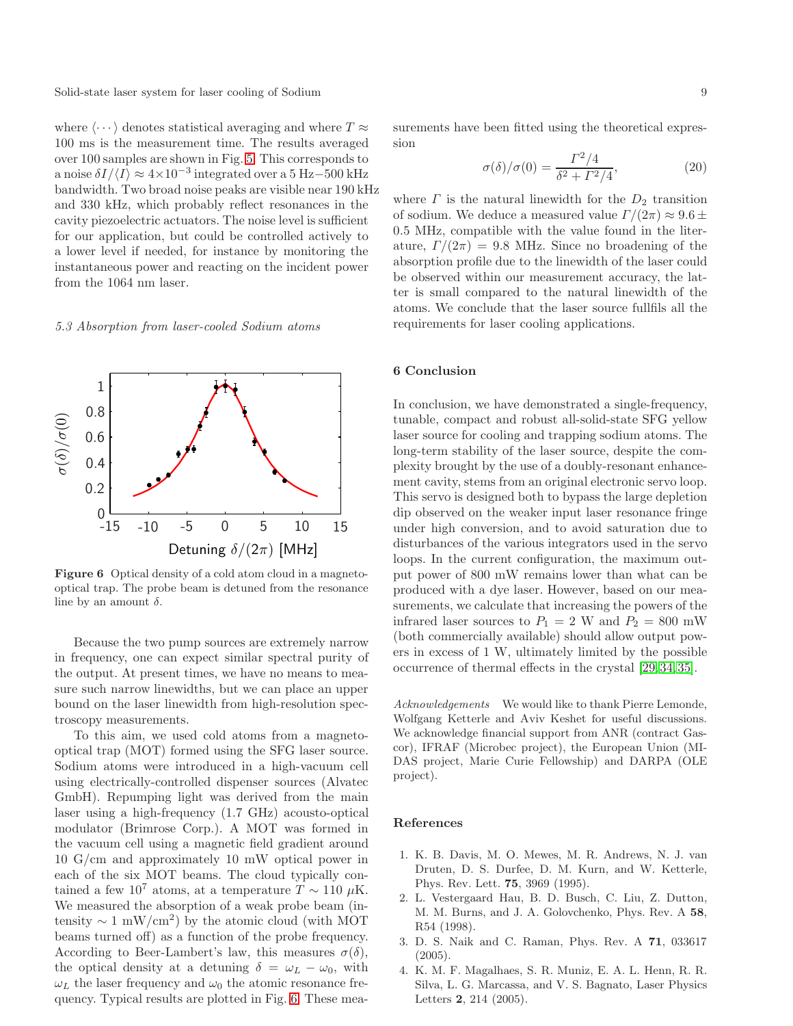Solid-state laser system for laser cooling of Sodium 9

where  $\langle \cdots \rangle$  denotes statistical averaging and where  $T \approx$ 100 ms is the measurement time. The results averaged over 100 samples are shown in Fig. [5.](#page-7-2) This corresponds to a noise  $\delta I/\langle I\rangle \approx 4\times10^{-3}$  integrated over a 5 Hz–500 kHz bandwidth. Two broad noise peaks are visible near 190 kHz 0 0. And 330 kHz, which probably reflect resonances in the cavity piezoelectric actuators. The noise level is sufficient  $\alpha$ <sup>2</sup> our application, but could be controlled actively to 0.3 lower level if needed, for instance by monitoring the instantaneous power and reacting on the incident power 0.4 the 1064 nm laser.

$$
0.5 \\
$$



 $0.6$ , 3 Absorption from laser-cooled Sodium atoms 0.7

<span id="page-8-4"></span>Figure 6 Optical density of a cold atom cloud in a magnetooptical trap. The probe beam is detuned from the resonance line by an amount  $\delta$ .

Because the two pump sources are extremely narrow in frequency, one can expect similar spectral purity of the output. At present times, we have no means to measure such narrow linewidths, but we can place an upper bound on the laser linewidth from high-resolution spectroscopy measurements.

To this aim, we used cold atoms from a magnetooptical trap (MOT) formed using the SFG laser source. Sodium atoms were introduced in a high-vacuum cell using electrically-controlled dispenser sources (Alvatec GmbH). Repumping light was derived from the main laser using a high-frequency (1.7 GHz) acousto-optical modulator (Brimrose Corp.). A MOT was formed in the vacuum cell using a magnetic field gradient around 10 G/cm and approximately 10 mW optical power in each of the six MOT beams. The cloud typically contained a few 10<sup>7</sup> atoms, at a temperature  $T \sim 110 \mu K$ . We measured the absorption of a weak probe beam (intensity  $\sim 1 \text{ mW/cm}^2$ ) by the atomic cloud (with MOT beams turned off) as a function of the probe frequency. According to Beer-Lambert's law, this measures  $\sigma(\delta)$ , the optical density at a detuning  $\delta = \omega_L - \omega_0$ , with  $\omega_L$  the laser frequency and  $\omega_0$  the atomic resonance frequency. Typical results are plotted in Fig. [6.](#page-8-4) These measurements have been fitted using the theoretical expression

$$
\sigma(\delta)/\sigma(0) = \frac{\Gamma^2/4}{\delta^2 + \Gamma^2/4},\tag{20}
$$

where  $\Gamma$  is the natural linewidth for the  $D_2$  transition of sodium. We deduce a measured value  $\Gamma/(2\pi) \approx 9.6 \pm$ 0.5 MHz, compatible with the value found in the literature,  $\Gamma/(2\pi) = 9.8$  MHz. Since no broadening of the absorption profile due to the linewidth of the laser could be observed within our measurement accuracy, the latter is small compared to the natural linewidth of the atoms. We conclude that the laser source fullfils all the requirements for laser cooling applications.

# 6 Conclusion

In conclusion, we have demonstrated a single-frequency, tunable, compact and robust all-solid-state SFG yellow laser source for cooling and trapping sodium atoms. The long-term stability of the laser source, despite the complexity brought by the use of a doubly-resonant enhancement cavity, stems from an original electronic servo loop. This servo is designed both to bypass the large depletion dip observed on the weaker input laser resonance fringe under high conversion, and to avoid saturation due to disturbances of the various integrators used in the servo loops. In the current configuration, the maximum output power of 800 mW remains lower than what can be produced with a dye laser. However, based on our measurements, we calculate that increasing the powers of the infrared laser sources to  $P_1 = 2$  W and  $P_2 = 800$  mW (both commercially available) should allow output powers in excess of 1 W, ultimately limited by the possible occurrence of thermal effects in the crystal [\[29,](#page-9-24)[34,](#page-9-29)[35\]](#page-9-30).

Acknowledgements We would like to thank Pierre Lemonde, Wolfgang Ketterle and Aviv Keshet for useful discussions. We acknowledge financial support from ANR (contract Gascor), IFRAF (Microbec project), the European Union (MI-DAS project, Marie Curie Fellowship) and DARPA (OLE project).

#### References

- <span id="page-8-0"></span>1. K. B. Davis, M. O. Mewes, M. R. Andrews, N. J. van Druten, D. S. Durfee, D. M. Kurn, and W. Ketterle, Phys. Rev. Lett. 75, 3969 (1995).
- <span id="page-8-1"></span>2. L. Vestergaard Hau, B. D. Busch, C. Liu, Z. Dutton, M. M. Burns, and J. A. Golovchenko, Phys. Rev. A 58, R54 (1998).
- <span id="page-8-2"></span>3. D. S. Naik and C. Raman, Phys. Rev. A 71, 033617 (2005).
- <span id="page-8-3"></span>4. K. M. F. Magalhaes, S. R. Muniz, E. A. L. Henn, R. R. Silva, L. G. Marcassa, and V. S. Bagnato, Laser Physics Letters 2, 214 (2005).